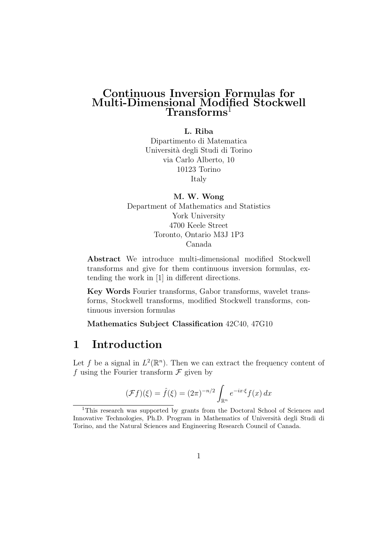### Continuous Inversion Formulas for Multi-Dimensional Modified Stockwell Transforms<sup>1</sup>

#### L. Riba

Dipartimento di Matematica Universit`a degli Studi di Torino via Carlo Alberto, 10 10123 Torino Italy

M. W. Wong Department of Mathematics and Statistics York University 4700 Keele Street Toronto, Ontario M3J 1P3 Canada

Abstract We introduce multi-dimensional modified Stockwell transforms and give for them continuous inversion formulas, extending the work in [1] in different directions.

Key Words Fourier transforms, Gabor transforms, wavelet transforms, Stockwell transforms, modified Stockwell transforms, continuous inversion formulas

Mathematics Subject Classification 42C40, 47G10

# 1 Introduction

Let f be a signal in  $L^2(\mathbb{R}^n)$ . Then we can extract the frequency content of f using the Fourier transform  $\mathcal F$  given by

$$
(\mathcal{F}f)(\xi) = \hat{f}(\xi) = (2\pi)^{-n/2} \int_{\mathbb{R}^n} e^{-ix\cdot\xi} f(x) dx
$$

<sup>&</sup>lt;sup>1</sup>This research was supported by grants from the Doctoral School of Sciences and Innovative Technologies, Ph.D. Program in Mathematics of Universit`a degli Studi di Torino, and the Natural Sciences and Engineering Research Council of Canada.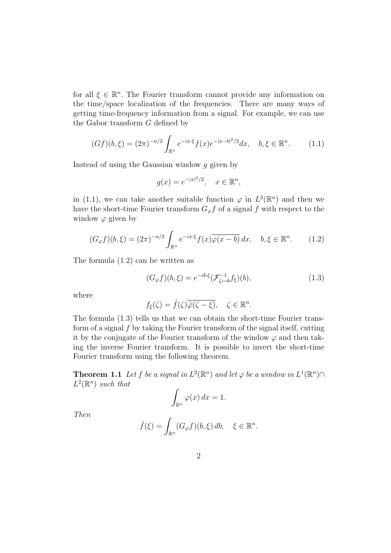for all  $\xi \in \mathbb{R}^n$ . The Fourier transform cannot provide any information on the time/space localization of the frequencies. There are many ways of getting time-frequency information from a signal. For example, we can use the Gabor transform G defined by

$$
(Gf)(b,\xi) = (2\pi)^{-n/2} \int_{\mathbb{R}^n} e^{-ix\cdot\xi} f(x) e^{-|x-b|^2/2} dx, \quad b,\xi \in \mathbb{R}^n. \tag{1.1}
$$

Instead of using the Gaussian window g given by

$$
g(x) = e^{-|x|^2/2}, \quad x \in \mathbb{R}^n
$$

in (1.1), we can take another suitable function  $\varphi$  in  $L^2(\mathbb{R}^n)$  and then we have the short-time Fourier transform  $G_{\varphi} f$  of a signal f with respect to the window  $\varphi$  given by

$$
(G_{\varphi}f)(b,\xi) = (2\pi)^{-n/2} \int_{\mathbb{R}^n} e^{-ix\cdot\xi} f(x) \overline{\varphi(x-b)} dx, \quad b,\xi \in \mathbb{R}^n. \tag{1.2}
$$

The formula (1.2) can be written as

$$
(G_{\varphi}f)(b,\xi) = e^{-ib\cdot\xi}(\mathcal{F}_{\zeta \mapsto b}^{-1}f_{\xi})(b),
$$
\n(1.3)

where

$$
f_{\xi}(\zeta) = \hat{f}(\zeta)\overline{\hat{\varphi}(\zeta - \xi)}, \quad \zeta \in \mathbb{R}^n.
$$

The formula (1.3) tells us that we can obtain the short-time Fourier transform of a signal  $f$  by taking the Fourier transform of the signal itself, cutting it by the conjugate of the Fourier transform of the window  $\varphi$  and then taking the inverse Fourier transform. It is possible to invert the short-time Fourier transform using the following theorem.

**Theorem 1.1** Let f be a signal in  $L^2(\mathbb{R}^n)$  and let  $\varphi$  be a window in  $L^1(\mathbb{R}^n) \cap$  $L^2(\mathbb{R}^n)$  such that

$$
\int_{\mathbb{R}^n} \varphi(x) \, dx = 1.
$$

Then

$$
\hat{f}(\xi) = \int_{\mathbb{R}^n} (G_{\varphi} f)(b, \xi) \, db, \quad \xi \in \mathbb{R}^n.
$$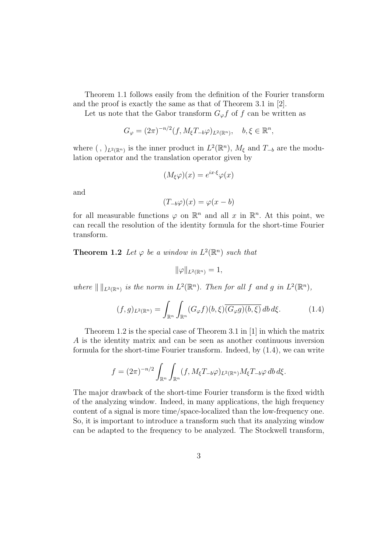Theorem 1.1 follows easily from the definition of the Fourier transform and the proof is exactly the same as that of Theorem 3.1 in [2].

Let us note that the Gabor transform  $G_{\varphi} f$  of f can be written as

$$
G_{\varphi} = (2\pi)^{-n/2} (f, M_{\xi} T_{-b} \varphi)_{L^2(\mathbb{R}^n)}, \quad b, \xi \in \mathbb{R}^n,
$$

where  $( , )_{L^2(\mathbb{R}^n)}$  is the inner product in  $L^2(\mathbb{R}^n)$ ,  $M_{\xi}$  and  $T_{-b}$  are the modulation operator and the translation operator given by

$$
(M_{\xi}\varphi)(x) = e^{ix\cdot\xi}\varphi(x)
$$

and

$$
(T_{-b}\varphi)(x) = \varphi(x - b)
$$

for all measurable functions  $\varphi$  on  $\mathbb{R}^n$  and all x in  $\mathbb{R}^n$ . At this point, we can recall the resolution of the identity formula for the short-time Fourier transform.

**Theorem 1.2** Let  $\varphi$  be a window in  $L^2(\mathbb{R}^n)$  such that

 $\|\varphi\|_{L^2(\mathbb{R}^n)} = 1,$ 

where  $\| \, \|_{L^2(\mathbb{R}^n)}$  is the norm in  $L^2(\mathbb{R}^n)$ . Then for all f and g in  $L^2(\mathbb{R}^n)$ ,

$$
(f,g)_{L^2(\mathbb{R}^n)} = \int_{\mathbb{R}^n} \int_{\mathbb{R}^n} (G_{\varphi}f)(b,\xi) \overline{(G_{\varphi}g)(b,\xi)} \, db \, d\xi. \tag{1.4}
$$

Theorem 1.2 is the special case of Theorem 3.1 in [1] in which the matrix A is the identity matrix and can be seen as another continuous inversion formula for the short-time Fourier transform. Indeed, by (1.4), we can write

$$
f = (2\pi)^{-n/2} \int_{\mathbb{R}^n} \int_{\mathbb{R}^n} (f, M_{\xi}T_{-b}\varphi)_{L^2(\mathbb{R}^n)} M_{\xi}T_{-b}\varphi \,db \,d\xi.
$$

The major drawback of the short-time Fourier transform is the fixed width of the analyzing window. Indeed, in many applications, the high frequency content of a signal is more time/space-localized than the low-frequency one. So, it is important to introduce a transform such that its analyzing window can be adapted to the frequency to be analyzed. The Stockwell transform,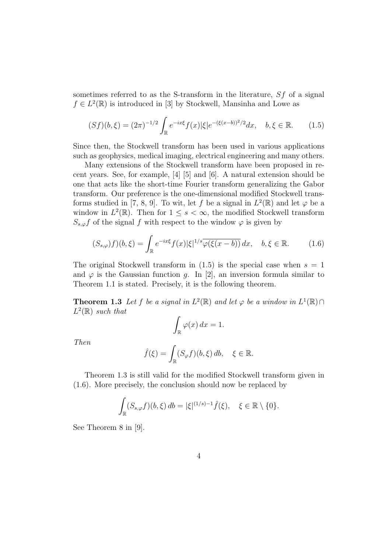sometimes referred to as the S-transform in the literature, Sf of a signal  $f \in L^2(\mathbb{R})$  is introduced in [3] by Stockwell, Mansinha and Lowe as

$$
(Sf)(b,\xi) = (2\pi)^{-1/2} \int_{\mathbb{R}} e^{-ix\xi} f(x) |\xi| e^{-(\xi(x-b))^2/2} dx, \quad b,\xi \in \mathbb{R}.
$$
 (1.5)

Since then, the Stockwell transform has been used in various applications such as geophysics, medical imaging, electrical engineering and many others.

Many extensions of the Stockwell transform have been proposed in recent years. See, for example, [4] [5] and [6]. A natural extension should be one that acts like the short-time Fourier transform generalizing the Gabor transform. Our preference is the one-dimensional modified Stockwell transforms studied in [7, 8, 9]. To wit, let f be a signal in  $L^2(\mathbb{R})$  and let  $\varphi$  be a window in  $L^2(\mathbb{R})$ . Then for  $1 \leq s < \infty$ , the modified Stockwell transform  $S_{s,\varphi}f$  of the signal f with respect to the window  $\varphi$  is given by

$$
(S_{s,\varphi})f)(b,\xi) = \int_{\mathbb{R}} e^{-ix\xi} f(x)|\xi|^{1/s} \overline{\varphi(\xi(x-b))} dx, \quad b,\xi \in \mathbb{R}.
$$
 (1.6)

The original Stockwell transform in  $(1.5)$  is the special case when  $s = 1$ and  $\varphi$  is the Gaussian function g. In [2], an inversion formula similar to Theorem 1.1 is stated. Precisely, it is the following theorem.

**Theorem 1.3** Let f be a signal in  $L^2(\mathbb{R})$  and let  $\varphi$  be a window in  $L^1(\mathbb{R}) \cap$  $L^2(\mathbb{R})$  such that

$$
\int_{\mathbb{R}} \varphi(x) \, dx = 1.
$$

Then

$$
\hat{f}(\xi) = \int_{\mathbb{R}} (S_{\varphi}f)(b,\xi) \, db, \quad \xi \in \mathbb{R}.
$$

Theorem 1.3 is still valid for the modified Stockwell transform given in (1.6). More precisely, the conclusion should now be replaced by

$$
\int_{\mathbb{R}} (S_{s,\varphi}f)(b,\xi) \, db = |\xi|^{(1/s)-1} \hat{f}(\xi), \quad \xi \in \mathbb{R} \setminus \{0\}.
$$

See Theorem 8 in [9].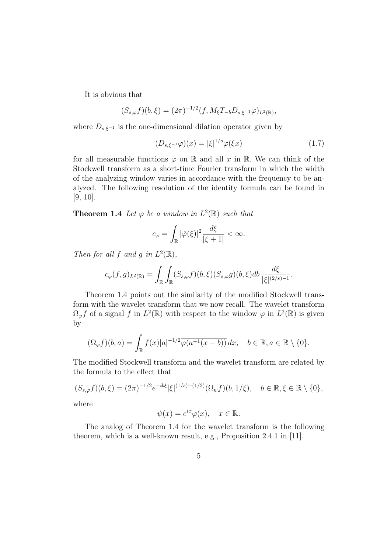It is obvious that

$$
(S_{s,\varphi}f)(b,\xi) = (2\pi)^{-1/2}(f, M_{\xi}T_{-b}D_{s,\xi^{-1}}\varphi)_{L^{2}(\mathbb{R})},
$$

where  $D_{s,\xi^{-1}}$  is the one-dimensional dilation operator given by

$$
(D_{s,\xi^{-1}}\varphi)(x) = |\xi|^{1/s}\varphi(\xi x)
$$
\n(1.7)

for all measurable functions  $\varphi$  on R and all x in R. We can think of the Stockwell transform as a short-time Fourier transform in which the width of the analyzing window varies in accordance with the frequency to be analyzed. The following resolution of the identity formula can be found in [9, 10].

**Theorem 1.4** Let  $\varphi$  be a window in  $L^2(\mathbb{R})$  such that

$$
c_{\varphi} = \int_{\mathbb{R}} |\hat{\varphi}(\xi)|^2 \frac{d\xi}{|\xi + 1|} < \infty.
$$

Then for all f and g in  $L^2(\mathbb{R})$ ,

$$
c_{\varphi}(f,g)_{L^2(\mathbb{R})} = \int_{\mathbb{R}} \int_{\mathbb{R}} (S_{s,\varphi}f)(b,\xi) \overline{(S_{s,\varphi}g)(b,\xi)} db \frac{d\xi}{|\xi|^{(2/s)-1}}.
$$

Theorem 1.4 points out the similarity of the modified Stockwell transform with the wavelet transform that we now recall. The wavelet transform  $\Omega_{\varphi} f$  of a signal f in  $L^2(\mathbb{R})$  with respect to the window  $\varphi$  in  $L^2(\mathbb{R})$  is given by

$$
(\Omega_{\varphi}f)(b,a) = \int_{\mathbb{R}} f(x)|a|^{-1/2}\overline{\varphi(a^{-1}(x-b))} dx, \quad b \in \mathbb{R}, a \in \mathbb{R} \setminus \{0\}.
$$

The modified Stockwell transform and the wavelet transform are related by the formula to the effect that

$$
(S_{s,\varphi}f)(b,\xi) = (2\pi)^{-1/2} e^{-ib\xi} |\xi|^{(1/s)-(1/2)} (\Omega_{\psi}f)(b,1/\xi), \quad b \in \mathbb{R}, \xi \in \mathbb{R} \setminus \{0\},
$$
  
where

where

$$
\psi(x) = e^{ix}\varphi(x), \quad x \in \mathbb{R}.
$$

The analog of Theorem 1.4 for the wavelet transform is the following theorem, which is a well-known result, e.g., Proposition 2.4.1 in [11].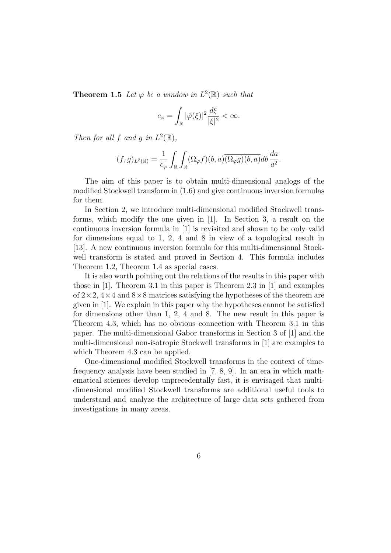**Theorem 1.5** Let  $\varphi$  be a window in  $L^2(\mathbb{R})$  such that

$$
c_{\varphi} = \int_{\mathbb{R}} |\hat{\varphi}(\xi)|^2 \frac{d\xi}{|\xi|^2} < \infty.
$$

Then for all f and g in  $L^2(\mathbb{R})$ ,

$$
(f,g)_{L^2(\mathbb{R})}=\frac{1}{c_\varphi}\int_\mathbb{R}\int_\mathbb{R}(\Omega_\varphi f)(b,a)\overline{(\Omega_\varphi g)(b,a)}db\,\frac{da}{a^2}.
$$

The aim of this paper is to obtain multi-dimensional analogs of the modified Stockwell transform in (1.6) and give continuous inversion formulas for them.

In Section 2, we introduce multi-dimensional modified Stockwell transforms, which modify the one given in [1]. In Section 3, a result on the continuous inversion formula in [1] is revisited and shown to be only valid for dimensions equal to 1, 2, 4 and 8 in view of a topological result in [13]. A new continuous inversion formula for this multi-dimensional Stockwell transform is stated and proved in Section 4. This formula includes Theorem 1.2, Theorem 1.4 as special cases.

It is also worth pointing out the relations of the results in this paper with those in [1]. Theorem 3.1 in this paper is Theorem 2.3 in [1] and examples of  $2 \times 2$ ,  $4 \times 4$  and  $8 \times 8$  matrices satisfying the hypotheses of the theorem are given in [1]. We explain in this paper why the hypotheses cannot be satisfied for dimensions other than 1, 2, 4 and 8. The new result in this paper is Theorem 4.3, which has no obvious connection with Theorem 3.1 in this paper. The multi-dimensional Gabor transforms in Section 3 of [1] and the multi-dimensional non-isotropic Stockwell transforms in [1] are examples to which Theorem 4.3 can be applied.

One-dimensional modified Stockwell transforms in the context of timefrequency analysis have been studied in [7, 8, 9]. In an era in which mathematical sciences develop unprecedentally fast, it is envisaged that multidimensional modified Stockwell transforms are additional useful tools to understand and analyze the architecture of large data sets gathered from investigations in many areas.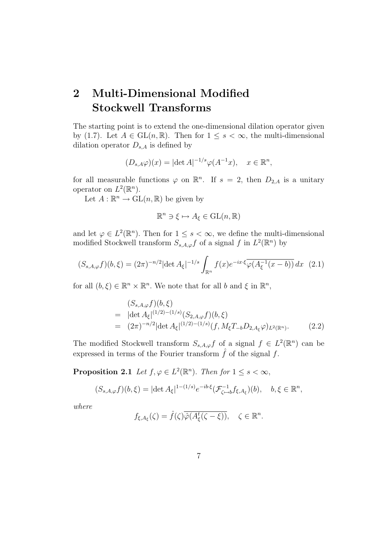# 2 Multi-Dimensional Modified Stockwell Transforms

The starting point is to extend the one-dimensional dilation operator given by (1.7). Let  $A \in GL(n, \mathbb{R})$ . Then for  $1 \leq s < \infty$ , the multi-dimensional dilation operator  $D_{s,A}$  is defined by

$$
(D_{s,A}\varphi)(x) = |\det A|^{-1/s}\varphi(A^{-1}x), \quad x \in \mathbb{R}^n,
$$

for all measurable functions  $\varphi$  on  $\mathbb{R}^n$ . If  $s = 2$ , then  $D_{2,A}$  is a unitary operator on  $L^2(\mathbb{R}^n)$ .

Let  $A: \mathbb{R}^n \to \mathrm{GL}(n, \mathbb{R})$  be given by

$$
\mathbb{R}^n \ni \xi \mapsto A_{\xi} \in \mathrm{GL}(n, \mathbb{R})
$$

and let  $\varphi \in L^2(\mathbb{R}^n)$ . Then for  $1 \leq s < \infty$ , we define the multi-dimensional modified Stockwell transform  $S_{s,A,\varphi}f$  of a signal f in  $L^2(\mathbb{R}^n)$  by

$$
(S_{s,A,\varphi}f)(b,\xi) = (2\pi)^{-n/2} |\det A_{\xi}|^{-1/s} \int_{\mathbb{R}^n} f(x) e^{-ix\cdot\xi} \overline{\varphi(A_{\xi}^{-1}(x-b))} dx \tag{2.1}
$$

for all  $(b, \xi) \in \mathbb{R}^n \times \mathbb{R}^n$ . We note that for all b and  $\xi$  in  $\mathbb{R}^n$ ,

$$
(S_{s,A,\varphi}f)(b,\xi)
$$
  
=  $|\det A_{\xi}|^{(1/2)-(1/s)}(S_{2,A,\varphi}f)(b,\xi)$   
=  $(2\pi)^{-n/2}|\det A_{\xi}|^{(1/2)-(1/s)}(f, M_{\xi}T_{-b}D_{2,A_{\xi}}\varphi)_{L^{2}(\mathbb{R}^{n})}.$  (2.2)

The modified Stockwell transform  $S_{s,A,\varphi}f$  of a signal  $f \in L^2(\mathbb{R}^n)$  can be expressed in terms of the Fourier transform  $\hat{f}$  of the signal f.

**Proposition 2.1** Let  $f, \varphi \in L^2(\mathbb{R}^n)$ . Then for  $1 \leq s < \infty$ ,

$$
(S_{s,A,\varphi}f)(b,\xi) = |\det A_{\xi}|^{1-(1/s)} e^{-ib\cdot\xi} (\mathcal{F}_{\zeta \mapsto b}^{-1} f_{\xi,A_{\xi}})(b), \quad b, \xi \in \mathbb{R}^n,
$$

where

$$
f_{\xi,A_{\xi}}(\zeta) = \hat{f}(\zeta)\overline{\hat{\varphi}(A_{\xi}^t(\zeta-\xi))}, \quad \zeta \in \mathbb{R}^n.
$$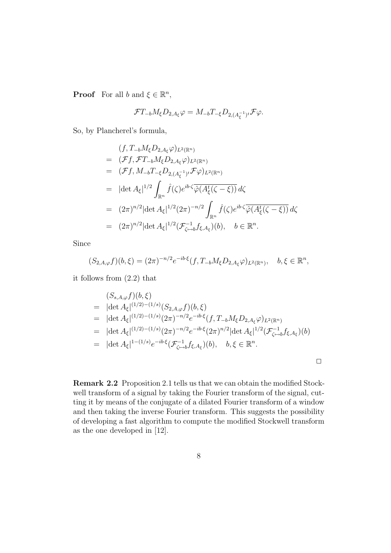**Proof** For all b and  $\xi \in \mathbb{R}^n$ ,

$$
\mathcal{F}T_{-b}M_{\xi}D_{2,A_{\xi}}\varphi = M_{-b}T_{-\xi}D_{2,(A_{\xi}^{-1})^t}\mathcal{F}\varphi.
$$

So, by Plancherel's formula,

$$
(f, T_{-b}M_{\xi}D_{2,A_{\xi}}\varphi)_{L^{2}(\mathbb{R}^{n})}
$$
\n
$$
= (Ff, \mathcal{F}T_{-b}M_{\xi}D_{2,A_{\xi}}\varphi)_{L^{2}(\mathbb{R}^{n})}
$$
\n
$$
= (Ff, M_{-b}T_{-\xi}D_{2,(A_{\xi}^{-1})^{t}}\varphi)_{L^{2}(\mathbb{R}^{n})}
$$
\n
$$
= |\det A_{\xi}|^{1/2} \int_{\mathbb{R}^{n}} \hat{f}(\zeta)e^{ib\cdot\zeta}\overline{\hat{\varphi}(A_{\xi}^{t}(\zeta - \xi))} d\zeta
$$
\n
$$
= (2\pi)^{n/2} |\det A_{\xi}|^{1/2} (2\pi)^{-n/2} \int_{\mathbb{R}^{n}} \hat{f}(\zeta)e^{ib\cdot\zeta}\overline{\hat{\varphi}(A_{\xi}^{t}(\zeta - \xi))} d\zeta
$$
\n
$$
= (2\pi)^{n/2} |\det A_{\xi}|^{1/2} (\mathcal{F}_{\zeta \mapsto b}^{-1} f_{\xi,A_{\xi}})(b), \quad b \in \mathbb{R}^{n}.
$$

Since

$$
(S_{2,A,\varphi}f)(b,\xi) = (2\pi)^{-n/2} e^{-ib\cdot\xi} (f, T_{-b}M_{\xi}D_{2,A_{\xi}}\varphi)_{L^{2}(\mathbb{R}^{n})}, \quad b, \xi \in \mathbb{R}^{n},
$$

it follows from (2.2) that

$$
(S_{s,A,\varphi}f)(b,\xi)
$$
  
=  $|\det A_{\xi}|^{(1/2)-(1/s)}(S_{2,A,\varphi}f)(b,\xi)$   
=  $|\det A_{\xi}|^{(1/2)-(1/s)}(2\pi)^{-n/2}e^{-ib\cdot\xi}(f,T_{-b}M_{\xi}D_{2,A_{\xi}}\varphi)_{L^{2}(\mathbb{R}^{n})}$   
=  $|\det A_{\xi}|^{(1/2)-(1/s)}(2\pi)^{-n/2}e^{-ib\cdot\xi}(2\pi)^{n/2}|\det A_{\xi}|^{1/2}(\mathcal{F}_{\zeta\mapsto b}^{-1}f_{\xi,A_{\xi}})(b)$   
=  $|\det A_{\xi}|^{1-(1/s)}e^{-ib\cdot\xi}(\mathcal{F}_{\zeta\mapsto b}^{-1}f_{\xi,A_{\xi}})(b), \quad b,\xi \in \mathbb{R}^{n}.$ 

Remark 2.2 Proposition 2.1 tells us that we can obtain the modified Stockwell transform of a signal by taking the Fourier transform of the signal, cutting it by means of the conjugate of a dilated Fourier transform of a window and then taking the inverse Fourier transform. This suggests the possibility of developing a fast algorithm to compute the modified Stockwell transform as the one developed in [12].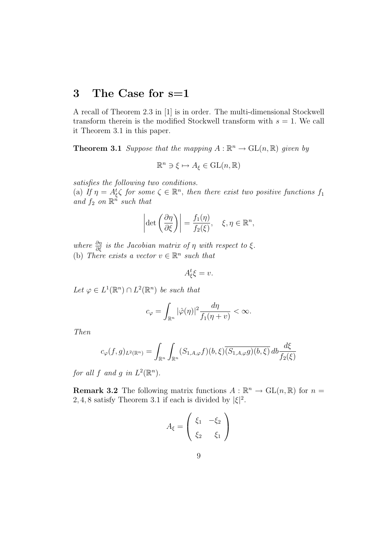# 3 The Case for s=1

A recall of Theorem 2.3 in [1] is in order. The multi-dimensional Stockwell transform therein is the modified Stockwell transform with  $s = 1$ . We call it Theorem 3.1 in this paper.

**Theorem 3.1** Suppose that the mapping  $A : \mathbb{R}^n \to \text{GL}(n, \mathbb{R})$  given by

$$
\mathbb{R}^n \ni \xi \mapsto A_{\xi} \in \mathrm{GL}(n, \mathbb{R})
$$

satisfies the following two conditions.

(a) If  $\eta = A_{\xi}^{\dagger} \zeta$  for some  $\zeta \in \mathbb{R}^n$ , then there exist two positive functions  $f_1$ and  $f_2$  on  $\mathbb{R}^n$  such that

$$
\left|\det\left(\frac{\partial\eta}{\partial\xi}\right)\right| = \frac{f_1(\eta)}{f_2(\xi)}, \quad \xi, \eta \in \mathbb{R}^n,
$$

where  $\frac{\partial \eta}{\partial \xi}$  is the Jacobian matrix of  $\eta$  with respect to  $\xi$ . (b) There exists a vector  $v \in \mathbb{R}^n$  such that

$$
A_{\xi}^{t}\xi=v.
$$

Let  $\varphi \in L^1(\mathbb{R}^n) \cap L^2(\mathbb{R}^n)$  be such that

$$
c_{\varphi} = \int_{\mathbb{R}^n} |\hat{\varphi}(\eta)|^2 \frac{d\eta}{f_1(\eta + v)} < \infty.
$$

Then

$$
c_{\varphi}(f,g)_{L^2(\mathbb{R}^n)} = \int_{\mathbb{R}^n} \int_{\mathbb{R}^n} (S_{1,A,\varphi}f)(b,\xi) \overline{(S_{1,A,\varphi}g)(b,\xi)} \, db \frac{d\xi}{f_2(\xi)}
$$

for all f and g in  $L^2(\mathbb{R}^n)$ .

**Remark 3.2** The following matrix functions  $A : \mathbb{R}^n \to GL(n, \mathbb{R})$  for  $n =$ 2, 4, 8 satisfy Theorem 3.1 if each is divided by  $|\xi|^2$ .

$$
A_{\xi} = \begin{pmatrix} \xi_1 & -\xi_2 \\ \xi_2 & \xi_1 \end{pmatrix}
$$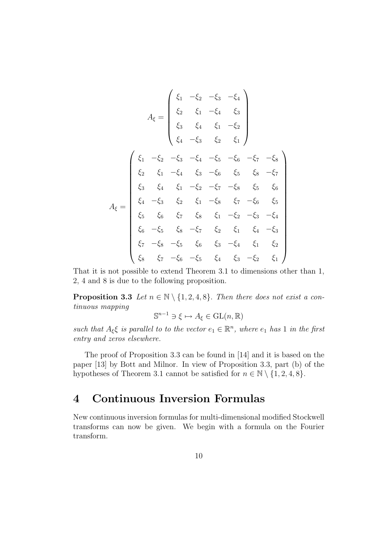$$
A_{\xi} = \begin{pmatrix} \xi_{1} & -\xi_{2} & -\xi_{3} & -\xi_{4} \\ \xi_{2} & \xi_{1} & -\xi_{4} & \xi_{3} \\ \xi_{3} & \xi_{4} & \xi_{1} & -\xi_{2} \\ \xi_{4} & -\xi_{3} & \xi_{2} & \xi_{1} \end{pmatrix}
$$

$$
A_{\xi} = \begin{pmatrix} \xi_{1} & -\xi_{2} & -\xi_{3} & -\xi_{4} & -\xi_{5} & -\xi_{6} & -\xi_{7} & -\xi_{8} \\ \xi_{2} & \xi_{1} & -\xi_{4} & \xi_{3} & -\xi_{6} & \xi_{5} & \xi_{8} & -\xi_{7} \\ \xi_{3} & \xi_{4} & \xi_{1} & -\xi_{2} & -\xi_{7} & -\xi_{8} & \xi_{5} & \xi_{6} \\ \xi_{4} & -\xi_{3} & \xi_{2} & \xi_{1} & -\xi_{8} & \xi_{7} & -\xi_{6} & \xi_{5} \\ \xi_{5} & \xi_{6} & \xi_{7} & \xi_{8} & \xi_{1} & -\xi_{2} & -\xi_{3} & -\xi_{4} \\ \xi_{6} & -\xi_{5} & \xi_{8} & -\xi_{7} & \xi_{2} & \xi_{1} & \xi_{4} & -\xi_{3} \\ \xi_{7} & -\xi_{8} & -\xi_{5} & \xi_{6} & \xi_{3} & -\xi_{4} & \xi_{1} & \xi_{2} \\ \xi_{8} & \xi_{7} & -\xi_{6} & -\xi_{5} & \xi_{4} & \xi_{3} & -\xi_{2} & \xi_{1} \end{pmatrix}
$$

That it is not possible to extend Theorem 3.1 to dimensions other than 1, 2, 4 and 8 is due to the following proposition.

**Proposition 3.3** Let  $n \in \mathbb{N} \setminus \{1, 2, 4, 8\}$ . Then there does not exist a continuous mapping

$$
\mathbb{S}^{n-1} \ni \xi \mapsto A_{\xi} \in \mathrm{GL}(n, \mathbb{R})
$$

such that  $A_{\xi} \xi$  is parallel to to the vector  $e_1 \in \mathbb{R}^n$ , where  $e_1$  has 1 in the first entry and zeros elsewhere.

The proof of Proposition 3.3 can be found in [14] and it is based on the paper [13] by Bott and Milnor. In view of Proposition 3.3, part (b) of the hypotheses of Theorem 3.1 cannot be satisfied for  $n \in \mathbb{N} \setminus \{1, 2, 4, 8\}.$ 

# 4 Continuous Inversion Formulas

New continuous inversion formulas for multi-dimensional modified Stockwell transforms can now be given. We begin with a formula on the Fourier transform.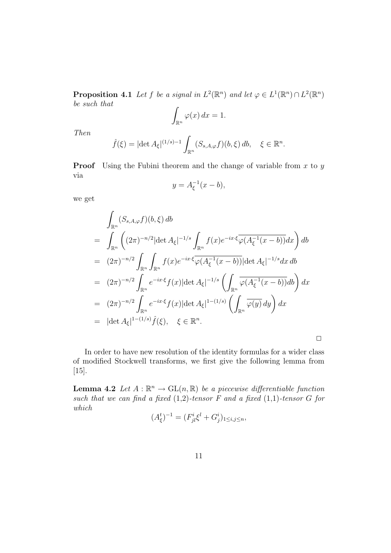**Proposition 4.1** Let f be a signal in  $L^2(\mathbb{R}^n)$  and let  $\varphi \in L^1(\mathbb{R}^n) \cap L^2(\mathbb{R}^n)$ be such that

$$
\int_{\mathbb{R}^n} \varphi(x) \, dx = 1.
$$

Then

$$
\hat{f}(\xi) = |\det A_{\xi}|^{(1/s)-1} \int_{\mathbb{R}^n} (S_{s,A,\varphi} f)(b,\xi) db, \quad \xi \in \mathbb{R}^n.
$$

**Proof** Using the Fubini theorem and the change of variable from  $x$  to  $y$ via

$$
y = A_{\xi}^{-1}(x - b),
$$

we get

$$
\int_{\mathbb{R}^n} (S_{s,A,\varphi}f)(b,\xi) \, db
$$
\n
$$
= \int_{\mathbb{R}^n} \left( (2\pi)^{-n/2} |\det A_{\xi}|^{-1/s} \int_{\mathbb{R}^n} f(x) e^{-ix\cdot\xi} \overline{\varphi(A_{\xi}^{-1}(x-b))} dx \right) \, db
$$
\n
$$
= (2\pi)^{-n/2} \int_{\mathbb{R}^n} \int_{\mathbb{R}^n} f(x) e^{-ix\cdot\xi} \overline{\varphi(A_{\xi}^{-1}(x-b))} |\det A_{\xi}|^{-1/s} dx \, db
$$
\n
$$
= (2\pi)^{-n/2} \int_{\mathbb{R}^n} e^{-ix\cdot\xi} f(x) |\det A_{\xi}|^{-1/s} \left( \int_{\mathbb{R}^n} \overline{\varphi(A_{\xi}^{-1}(x-b))} db \right) dx
$$
\n
$$
= (2\pi)^{-n/2} \int_{\mathbb{R}^n} e^{-ix\cdot\xi} f(x) |\det A_{\xi}|^{1-(1/s)} \left( \int_{\mathbb{R}^n} \overline{\varphi(y)} \, dy \right) dx
$$
\n
$$
= |\det A_{\xi}|^{1-(1/s)} \hat{f}(\xi), \quad \xi \in \mathbb{R}^n.
$$

In order to have new resolution of the identity formulas for a wider class of modified Stockwell transforms, we first give the following lemma from [15].

 $\Box$ 

**Lemma 4.2** Let  $A : \mathbb{R}^n \to GL(n, \mathbb{R})$  be a piecewise differentiable function such that we can find a fixed  $(1,2)$ -tensor F and a fixed  $(1,1)$ -tensor G for which i

$$
(A_{\xi}^{t})^{-1} = (F_{jl}^{i}\xi^{l} + G_{j}^{i})_{1 \le i,j \le n},
$$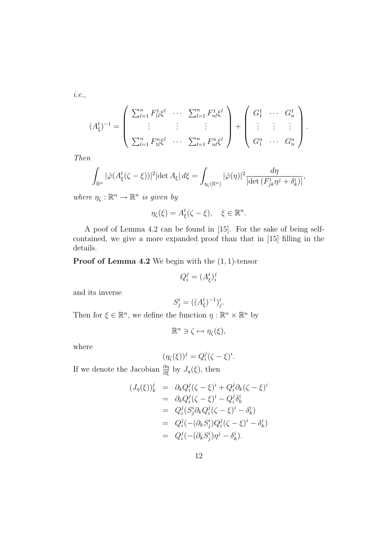i.e.,

$$
(A_{\xi}^{t})^{-1} = \begin{pmatrix} \sum_{l=1}^{n} F_{1l}^{1} \xi^{l} & \cdots & \sum_{l=1}^{n} F_{nl}^{1} \xi^{l} \\ \vdots & \vdots & \vdots \\ \sum_{l=1}^{n} F_{1l}^{n} \xi^{l} & \cdots & \sum_{l=1}^{n} F_{nl}^{n} \xi^{l} \end{pmatrix} + \begin{pmatrix} G_{1}^{1} & \cdots & G_{n}^{1} \\ \vdots & \vdots & \vdots \\ G_{1}^{n} & \cdots & G_{n}^{n} \end{pmatrix}.
$$

Then

$$
\int_{\mathbb{R}^n} |\hat{\varphi}(A_{\xi}^t(\zeta - \xi))|^2 |\det A_{\xi}| d\xi = \int_{\eta_{\zeta}(\mathbb{R}^n)} |\hat{\varphi}(\eta)|^2 \frac{d\eta}{|\det (F_{jk}^i \eta^j + \delta_k^i)|},
$$

where  $\eta_{\zeta}: \mathbb{R}^n \to \mathbb{R}^n$  is given by

$$
\eta_{\zeta}(\xi) = A_{\xi}^{t}(\zeta - \xi), \quad \xi \in \mathbb{R}^{n}.
$$

A poof of Lemma 4.2 can be found in [15]. For the sake of being selfcontained, we give a more expanded proof than that in [15] filling in the details.

**Proof of Lemma 4.2** We begin with the  $(1, 1)$ -tensor

$$
Q_i^j = (A_{\xi}^t)_i^j
$$

and its inverse

$$
S_j^i = ((A_{\xi}^t)^{-1})_j^i.
$$

Then for  $\xi \in \mathbb{R}^n$ , we define the function  $\eta : \mathbb{R}^n \times \mathbb{R}^n$  by

$$
\mathbb{R}^n \ni \zeta \mapsto \eta_{\zeta}(\xi),
$$

where

$$
(\eta_{\zeta}(\xi))^j = Q_i^j(\zeta - \xi)^i.
$$

If we denote the Jacobian  $\frac{\partial \eta}{\partial \xi}$  by  $J_{\eta}(\xi)$ , then

$$
(J_{\eta}(\xi))_{k}^{j} = \partial_{k}Q_{i}^{j}(\zeta - \xi)^{i} + Q_{i}^{j}\partial_{k}(\zeta - \xi)^{i}
$$
  
\n
$$
= \partial_{k}Q_{i}^{j}(\zeta - \xi)^{i} - Q_{i}^{j}\delta_{k}^{i}
$$
  
\n
$$
= Q_{i}^{j}(S_{j}^{i}\partial_{k}Q_{i}^{j}(\zeta - \xi)^{i} - \delta_{k}^{i})
$$
  
\n
$$
= Q_{i}^{j}(-(\partial_{k}S_{j}^{i})Q_{i}^{j}(\zeta - \xi)^{i} - \delta_{k}^{i})
$$
  
\n
$$
= Q_{i}^{j}(-(\partial_{k}S_{j}^{i})\eta^{j} - \delta_{k}^{i}).
$$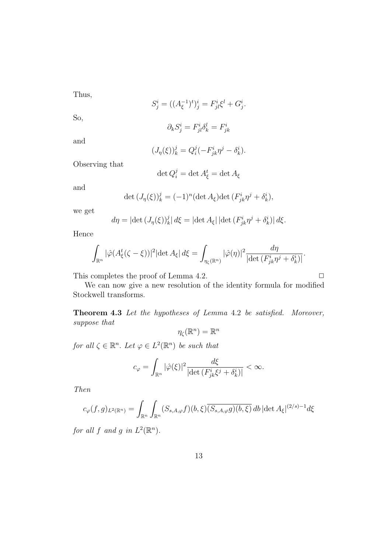Thus,

$$
S_j^i = ((A_{\xi}^{-1})^t)_j^i = F_{jl}^i \xi^l + G_j^i.
$$

So,

$$
\partial_k S^i_j = F^i_{jl} \delta^l_k = F^i_{jk}
$$

and

$$
(J_{\eta}(\xi))_k^j = Q_i^j(-F_{jk}^i\eta^j - \delta_k^i).
$$

Observing that

$$
\det Q_i^j = \det A_\xi^t = \det A_\xi
$$

and

$$
\det (J_{\eta}(\xi))_{k}^{j} = (-1)^{n} (\det A_{\xi}) \det (F_{jk}^{i} \eta^{j} + \delta_{k}^{i}),
$$

we get

$$
d\eta = |\det (J_{\eta}(\xi))_k^j| d\xi = |\det A_{\xi}| |\det (F_{jk}^i \eta^j + \delta_k^i)| d\xi.
$$

Hence

$$
\int_{\mathbb{R}^n} |\hat{\varphi}(A_{\xi}^t(\zeta - \xi))|^2 |\det A_{\xi}| d\xi = \int_{\eta_{\zeta}(\mathbb{R}^n)} |\hat{\varphi}(\eta)|^2 \frac{d\eta}{|\det (F_{jk}^i \eta^j + \delta_k^i)|}.
$$

This completes the proof of Lemma 4.2.  $\Box$ 

We can now give a new resolution of the identity formula for modified Stockwell transforms.

Theorem 4.3 Let the hypotheses of Lemma 4.2 be satisfied. Moreover, suppose that n

$$
\eta_{\zeta}(\mathbb{R}^n) = \mathbb{R}^n
$$

for all  $\zeta \in \mathbb{R}^n$ . Let  $\varphi \in L^2(\mathbb{R}^n)$  be such that

$$
c_{\varphi} = \int_{\mathbb{R}^n} |\hat{\varphi}(\xi)|^2 \frac{d\xi}{|\det(F^i_{jk}\xi^j + \delta^i_k)|} < \infty.
$$

Then

$$
c_{\varphi}(f,g)_{L^2(\mathbb{R}^n)} = \int_{\mathbb{R}^n} \int_{\mathbb{R}^n} (S_{s,A,\varphi}f)(b,\xi) \overline{(S_{s,A,\varphi}g)(b,\xi)} \, db \, |\det A_{\xi}|^{(2/s)-1} d\xi
$$

for all f and g in  $L^2(\mathbb{R}^n)$ .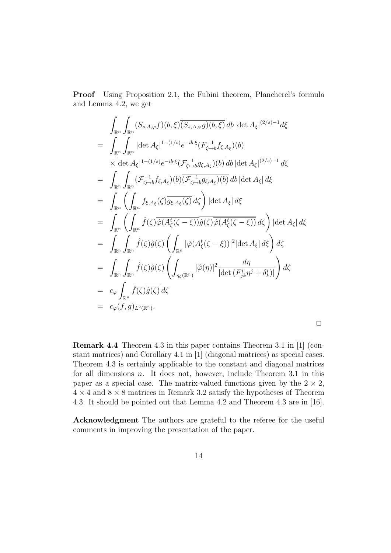Proof Using Proposition 2.1, the Fubini theorem, Plancherel's formula and Lemma 4.2, we get

$$
\int_{\mathbb{R}^n} \int_{\mathbb{R}^n} (S_{s,A,\varphi}f)(b,\xi) \overline{(S_{s,A,\varphi}g)(b,\xi)} \, db \, |\det A_{\xi}|^{(2/s)-1} d\xi
$$
\n
$$
= \int_{\mathbb{R}^n} \int_{\mathbb{R}^n} |\det A_{\xi}|^{1-(1/s)} e^{-ib\cdot\xi} (F_{\zeta \to b}^{-1} f_{\xi,A_{\xi}})(b)
$$
\n
$$
\times |\det A_{\xi}|^{1-(1/s)} e^{-ib\cdot\xi} (F_{\zeta \to b}^{-1} g_{\xi,A_{\xi}})(b) \, db \, |\det A_{\xi}|^{(2/s)-1} \, d\xi
$$
\n
$$
= \int_{\mathbb{R}^n} \int_{\mathbb{R}^n} (f_{\zeta \to b}^{-1} f_{\xi,A_{\xi}})(b) \overline{(f_{\zeta \to b}^{-1} g_{\xi,A_{\xi}})(b)} \, db \, |\det A_{\xi}| \, d\xi
$$
\n
$$
= \int_{\mathbb{R}^n} \left( \int_{\mathbb{R}^n} f_{\xi,A_{\xi}}(\zeta) \overline{g_{\xi,A_{\xi}}(\zeta)} \, d\zeta \right) |\det A_{\xi}| \, d\xi
$$
\n
$$
= \int_{\mathbb{R}^n} \int_{\mathbb{R}^n} \hat{f}(\zeta) \overline{\hat{g}(\zeta)} \left( \int_{\mathbb{R}^n} |\hat{\varphi}(A_{\xi}^t(\zeta - \xi))|^2 |\det A_{\xi}| \, d\xi \right) \, d\zeta
$$
\n
$$
= \int_{\mathbb{R}^n} \int_{\mathbb{R}^n} \hat{f}(\zeta) \overline{\hat{g}(\zeta)} \left( \int_{\eta_{\zeta}(\mathbb{R}^n)} |\hat{\varphi}(\eta)|^2 \frac{d\eta}{|\det (F_{jk}^i \eta^j + \delta_{k}^i)|} \right) \, d\zeta
$$
\n
$$
= c_{\varphi} \int_{\mathbb{R}^n} \hat{f}(\zeta) \overline{\hat{g}(\zeta)} \, d\zeta
$$
\n
$$
= c_{\varphi} (f, g)_{L^2(\math
$$

Remark 4.4 Theorem 4.3 in this paper contains Theorem 3.1 in [1] (constant matrices) and Corollary 4.1 in [1] (diagonal matrices) as special cases. Theorem 4.3 is certainly applicable to the constant and diagonal matrices for all dimensions  $n$ . It does not, however, include Theorem 3.1 in this paper as a special case. The matrix-valued functions given by the  $2 \times 2$ ,  $4 \times 4$  and  $8 \times 8$  matrices in Remark 3.2 satisfy the hypotheses of Theorem 4.3. It should be pointed out that Lemma 4.2 and Theorem 4.3 are in [16].

 $\Box$ 

Acknowledgment The authors are grateful to the referee for the useful comments in improving the presentation of the paper.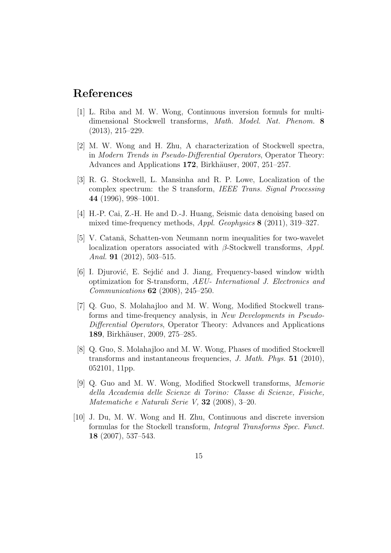## References

- [1] L. Riba and M. W. Wong, Continuous inversion formuls for multidimensional Stockwell transforms, Math. Model. Nat. Phenom. 8 (2013), 215–229.
- [2] M. W. Wong and H. Zhu, A characterization of Stockwell spectra, in Modern Trends in Pseudo-Differential Operators, Operator Theory: Advances and Applications 172, Birkhäuser, 2007, 251–257.
- [3] R. G. Stockwell, L. Mansinha and R. P. Lowe, Localization of the complex spectrum: the S transform, IEEE Trans. Signal Processing 44 (1996), 998–1001.
- [4] H.-P. Cai, Z.-H. He and D.-J. Huang, Seismic data denoising based on mixed time-frequency methods, Appl. Geophysics 8 (2011), 319–327.
- [5] V. Catană, Schatten-von Neumann norm inequalities for two-wavelet localization operators associated with  $\beta$ -Stockwell transforms, *Appl.* Anal. **91** (2012), 503-515.
- [6] I. Djurović, E. Sejdić and J. Jiang, Frequency-based window width optimization for S-transform, AEU- International J. Electronics and Communications 62 (2008), 245–250.
- [7] Q. Guo, S. Molahajloo and M. W. Wong, Modified Stockwell transforms and time-frequency analysis, in New Developments in Pseudo-Differential Operators, Operator Theory: Advances and Applications 189, Birkhäuser, 2009, 275–285.
- [8] Q. Guo, S. Molahajloo and M. W. Wong, Phases of modified Stockwell transforms and instantaneous frequencies, J. Math. Phys. 51 (2010), 052101, 11pp.
- [9] Q. Guo and M. W. Wong, Modified Stockwell transforms, Memorie della Accademia delle Scienze di Torino: Classe di Scienze, Fisiche, Matematiche e Naturali Serie V, 32 (2008), 3–20.
- [10] J. Du, M. W. Wong and H. Zhu, Continuous and discrete inversion formulas for the Stockell transform, Integral Transforms Spec. Funct. 18 (2007), 537–543.